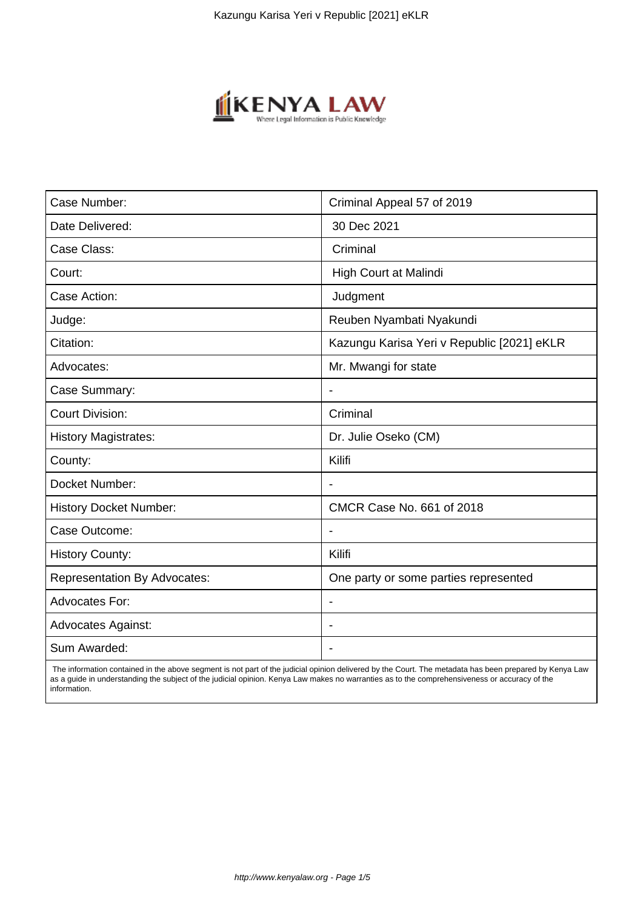

| Case Number:                        | Criminal Appeal 57 of 2019                 |
|-------------------------------------|--------------------------------------------|
| Date Delivered:                     | 30 Dec 2021                                |
| Case Class:                         | Criminal                                   |
| Court:                              | High Court at Malindi                      |
| Case Action:                        | Judgment                                   |
| Judge:                              | Reuben Nyambati Nyakundi                   |
| Citation:                           | Kazungu Karisa Yeri v Republic [2021] eKLR |
| Advocates:                          | Mr. Mwangi for state                       |
| Case Summary:                       |                                            |
| <b>Court Division:</b>              | Criminal                                   |
| <b>History Magistrates:</b>         | Dr. Julie Oseko (CM)                       |
| County:                             | Kilifi                                     |
| Docket Number:                      |                                            |
| <b>History Docket Number:</b>       | CMCR Case No. 661 of 2018                  |
| Case Outcome:                       | $\blacksquare$                             |
| <b>History County:</b>              | Kilifi                                     |
| <b>Representation By Advocates:</b> | One party or some parties represented      |
| <b>Advocates For:</b>               | $\overline{\phantom{a}}$                   |
| <b>Advocates Against:</b>           |                                            |
| Sum Awarded:                        |                                            |

 The information contained in the above segment is not part of the judicial opinion delivered by the Court. The metadata has been prepared by Kenya Law as a guide in understanding the subject of the judicial opinion. Kenya Law makes no warranties as to the comprehensiveness or accuracy of the information.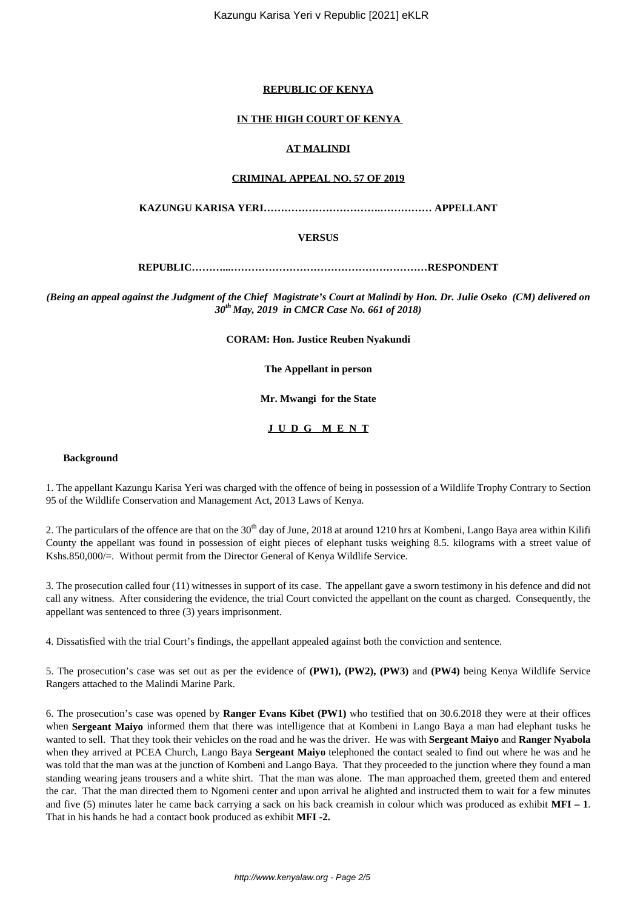### **REPUBLIC OF KENYA**

### **IN THE HIGH COURT OF KENYA**

## **AT MALINDI**

#### **CRIMINAL APPEAL NO. 57 OF 2019**

**KAZUNGU KARISA YERI…………………………….…………… APPELLANT**

### **VERSUS**

**REPUBLIC………...…………………………………………………RESPONDENT**

*(Being an appeal against the Judgment of the Chief Magistrate's Court at Malindi by Hon. Dr. Julie Oseko (CM) delivered on 30th May, 2019 in CMCR Case No. 661 of 2018)*

**CORAM: Hon. Justice Reuben Nyakundi**

**The Appellant in person**

**Mr. Mwangi for the State**

### **J U D G M E N T**

#### **Background**

1. The appellant Kazungu Karisa Yeri was charged with the offence of being in possession of a Wildlife Trophy Contrary to Section 95 of the Wildlife Conservation and Management Act, 2013 Laws of Kenya.

2. The particulars of the offence are that on the  $30<sup>th</sup>$  day of June, 2018 at around 1210 hrs at Kombeni, Lango Baya area within Kilifi County the appellant was found in possession of eight pieces of elephant tusks weighing 8.5. kilograms with a street value of Kshs.850,000/=. Without permit from the Director General of Kenya Wildlife Service.

3. The prosecution called four (11) witnesses in support of its case. The appellant gave a sworn testimony in his defence and did not call any witness. After considering the evidence, the trial Court convicted the appellant on the count as charged. Consequently, the appellant was sentenced to three (3) years imprisonment.

4. Dissatisfied with the trial Court's findings, the appellant appealed against both the conviction and sentence.

5. The prosecution's case was set out as per the evidence of **(PW1), (PW2), (PW3)** and **(PW4)** being Kenya Wildlife Service Rangers attached to the Malindi Marine Park.

6. The prosecution's case was opened by **Ranger Evans Kibet (PW1)** who testified that on 30.6.2018 they were at their offices when **Sergeant Maiyo** informed them that there was intelligence that at Kombeni in Lango Baya a man had elephant tusks he wanted to sell. That they took their vehicles on the road and he was the driver. He was with **Sergeant Maiyo** and **Ranger Nyabola** when they arrived at PCEA Church, Lango Baya **Sergeant Maiyo** telephoned the contact sealed to find out where he was and he was told that the man was at the junction of Kombeni and Lango Baya. That they proceeded to the junction where they found a man standing wearing jeans trousers and a white shirt. That the man was alone. The man approached them, greeted them and entered the car. That the man directed them to Ngomeni center and upon arrival he alighted and instructed them to wait for a few minutes and five (5) minutes later he came back carrying a sack on his back creamish in colour which was produced as exhibit **MFI – 1**. That in his hands he had a contact book produced as exhibit **MFI -2.**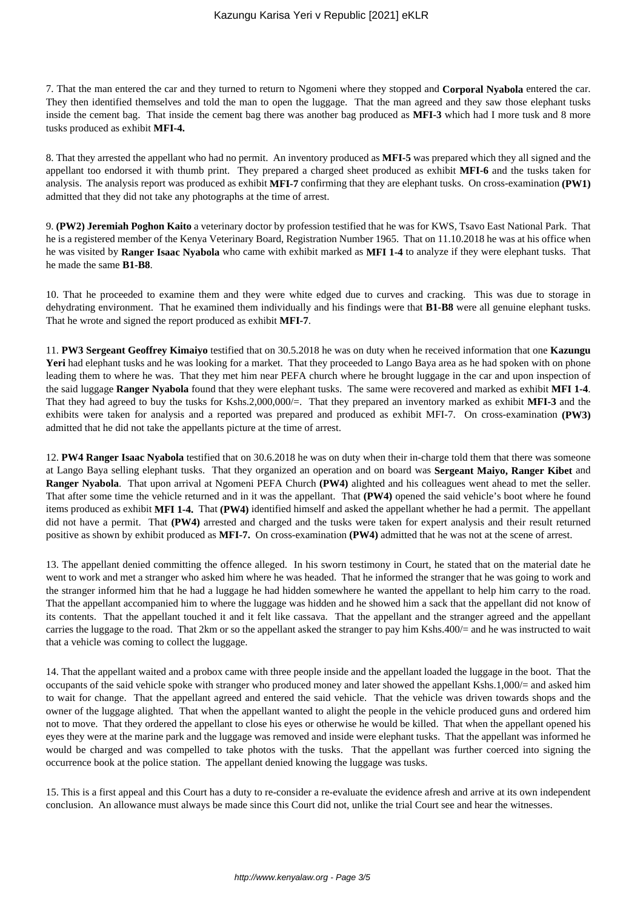7. That the man entered the car and they turned to return to Ngomeni where they stopped and **Corporal Nyabola** entered the car. They then identified themselves and told the man to open the luggage. That the man agreed and they saw those elephant tusks inside the cement bag. That inside the cement bag there was another bag produced as **MFI-3** which had I more tusk and 8 more tusks produced as exhibit **MFI-4.**

8. That they arrested the appellant who had no permit. An inventory produced as **MFI-5** was prepared which they all signed and the appellant too endorsed it with thumb print. They prepared a charged sheet produced as exhibit **MFI-6** and the tusks taken for analysis. The analysis report was produced as exhibit **MFI-7** confirming that they are elephant tusks. On cross-examination **(PW1)** admitted that they did not take any photographs at the time of arrest.

9. **(PW2) Jeremiah Poghon Kaito** a veterinary doctor by profession testified that he was for KWS, Tsavo East National Park. That he is a registered member of the Kenya Veterinary Board, Registration Number 1965. That on 11.10.2018 he was at his office when he was visited by **Ranger Isaac Nyabola** who came with exhibit marked as **MFI 1-4** to analyze if they were elephant tusks. That he made the same **B1-B8**.

10. That he proceeded to examine them and they were white edged due to curves and cracking. This was due to storage in dehydrating environment. That he examined them individually and his findings were that **B1-B8** were all genuine elephant tusks. That he wrote and signed the report produced as exhibit **MFI-7**.

11. **PW3 Sergeant Geoffrey Kimaiyo** testified that on 30.5.2018 he was on duty when he received information that one **Kazungu Yeri** had elephant tusks and he was looking for a market. That they proceeded to Lango Baya area as he had spoken with on phone leading them to where he was. That they met him near PEFA church where he brought luggage in the car and upon inspection of the said luggage **Ranger Nyabola** found that they were elephant tusks. The same were recovered and marked as exhibit **MFI 1-4**. That they had agreed to buy the tusks for Kshs.2,000,000/=. That they prepared an inventory marked as exhibit **MFI-3** and the exhibits were taken for analysis and a reported was prepared and produced as exhibit MFI-7. On cross-examination **(PW3)** admitted that he did not take the appellants picture at the time of arrest.

12. **PW4 Ranger Isaac Nyabola** testified that on 30.6.2018 he was on duty when their in-charge told them that there was someone at Lango Baya selling elephant tusks. That they organized an operation and on board was **Sergeant Maiyo, Ranger Kibet** and **Ranger Nyabola**. That upon arrival at Ngomeni PEFA Church **(PW4)** alighted and his colleagues went ahead to met the seller. That after some time the vehicle returned and in it was the appellant. That **(PW4)** opened the said vehicle's boot where he found items produced as exhibit **MFI 1-4.** That **(PW4)** identified himself and asked the appellant whether he had a permit. The appellant did not have a permit. That **(PW4)** arrested and charged and the tusks were taken for expert analysis and their result returned positive as shown by exhibit produced as **MFI-7.** On cross-examination **(PW4)** admitted that he was not at the scene of arrest.

13. The appellant denied committing the offence alleged. In his sworn testimony in Court, he stated that on the material date he went to work and met a stranger who asked him where he was headed. That he informed the stranger that he was going to work and the stranger informed him that he had a luggage he had hidden somewhere he wanted the appellant to help him carry to the road. That the appellant accompanied him to where the luggage was hidden and he showed him a sack that the appellant did not know of its contents. That the appellant touched it and it felt like cassava. That the appellant and the stranger agreed and the appellant carries the luggage to the road. That 2km or so the appellant asked the stranger to pay him Kshs.400/= and he was instructed to wait that a vehicle was coming to collect the luggage.

14. That the appellant waited and a probox came with three people inside and the appellant loaded the luggage in the boot. That the occupants of the said vehicle spoke with stranger who produced money and later showed the appellant Kshs.1,000/= and asked him to wait for change. That the appellant agreed and entered the said vehicle. That the vehicle was driven towards shops and the owner of the luggage alighted. That when the appellant wanted to alight the people in the vehicle produced guns and ordered him not to move. That they ordered the appellant to close his eyes or otherwise he would be killed. That when the appellant opened his eyes they were at the marine park and the luggage was removed and inside were elephant tusks. That the appellant was informed he would be charged and was compelled to take photos with the tusks. That the appellant was further coerced into signing the occurrence book at the police station. The appellant denied knowing the luggage was tusks.

15. This is a first appeal and this Court has a duty to re-consider a re-evaluate the evidence afresh and arrive at its own independent conclusion. An allowance must always be made since this Court did not, unlike the trial Court see and hear the witnesses.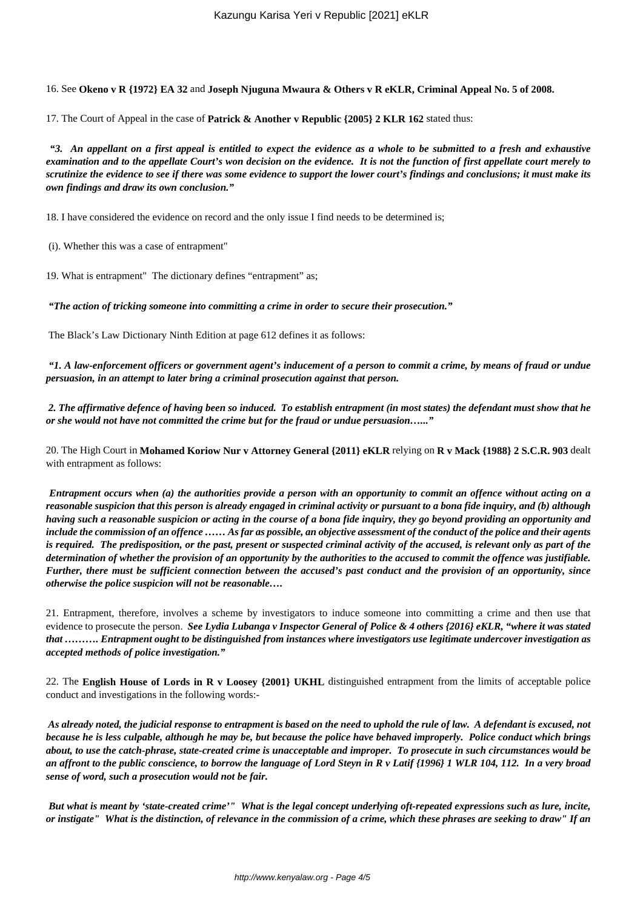16. See **Okeno v R {1972} EA 32** and **Joseph Njuguna Mwaura & Others v R eKLR, Criminal Appeal No. 5 of 2008.**

17. The Court of Appeal in the case of **Patrick & Another v Republic {2005} 2 KLR 162** stated thus:

*"3. An appellant on a first appeal is entitled to expect the evidence as a whole to be submitted to a fresh and exhaustive examination and to the appellate Court's won decision on the evidence. It is not the function of first appellate court merely to scrutinize the evidence to see if there was some evidence to support the lower court's findings and conclusions; it must make its own findings and draw its own conclusion."*

18. I have considered the evidence on record and the only issue I find needs to be determined is;

(i). Whether this was a case of entrapment"

19. What is entrapment" The dictionary defines "entrapment" as;

*"The action of tricking someone into committing a crime in order to secure their prosecution."*

The Black's Law Dictionary Ninth Edition at page 612 defines it as follows:

*"1. A law-enforcement officers or government agent's inducement of a person to commit a crime, by means of fraud or undue persuasion, in an attempt to later bring a criminal prosecution against that person.*

*2. The affirmative defence of having been so induced. To establish entrapment (in most states) the defendant must show that he or she would not have not committed the crime but for the fraud or undue persuasion…..."*

20. The High Court in **Mohamed Koriow Nur v Attorney General {2011} eKLR** relying on **R v Mack {1988} 2 S.C.R. 903** dealt with entrapment as follows:

*Entrapment occurs when (a) the authorities provide a person with an opportunity to commit an offence without acting on a reasonable suspicion that this person is already engaged in criminal activity or pursuant to a bona fide inquiry, and (b) although having such a reasonable suspicion or acting in the course of a bona fide inquiry, they go beyond providing an opportunity and include the commission of an offence …… As far as possible, an objective assessment of the conduct of the police and their agents is required. The predisposition, or the past, present or suspected criminal activity of the accused, is relevant only as part of the determination of whether the provision of an opportunity by the authorities to the accused to commit the offence was justifiable. Further, there must be sufficient connection between the accused's past conduct and the provision of an opportunity, since otherwise the police suspicion will not be reasonable….*

21. Entrapment, therefore, involves a scheme by investigators to induce someone into committing a crime and then use that evidence to prosecute the person. *See Lydia Lubanga v Inspector General of Police & 4 others {2016} eKLR, "where it was stated that ………. Entrapment ought to be distinguished from instances where investigators use legitimate undercover investigation as accepted methods of police investigation."*

22. The **English House of Lords in R v Loosey {2001} UKHL** distinguished entrapment from the limits of acceptable police conduct and investigations in the following words:-

*As already noted, the judicial response to entrapment is based on the need to uphold the rule of law. A defendant is excused, not because he is less culpable, although he may be, but because the police have behaved improperly. Police conduct which brings about, to use the catch-phrase, state-created crime is unacceptable and improper. To prosecute in such circumstances would be an affront to the public conscience, to borrow the language of Lord Steyn in R v Latif {1996} 1 WLR 104, 112. In a very broad sense of word, such a prosecution would not be fair.*

*But what is meant by 'state-created crime'" What is the legal concept underlying oft-repeated expressions such as lure, incite, or instigate" What is the distinction, of relevance in the commission of a crime, which these phrases are seeking to draw" If an*